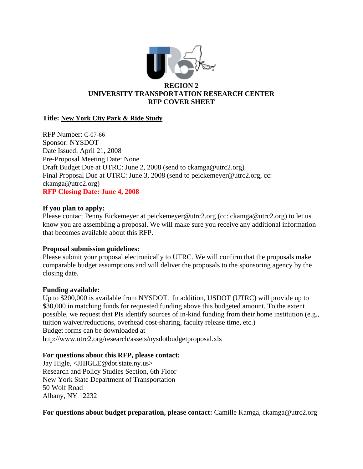

# **UNIVERSITY TRANSPORTATION RESEARCH CENTER RFP COVER SHEET**

# **Title: New York City Park & Ride Study**

RFP Number: C-07-66 Sponsor: NYSDOT Date Issued: April 21, 2008 Pre-Proposal Meeting Date: None Draft Budget Due at UTRC: June 2, 2008 (send to ckamga@utrc2.org) Final Proposal Due at UTRC: June 3, 2008 (send to peickemeyer@utrc2.org, cc: ckamga@utrc2.org) **RFP Closing Date: June 4, 2008** 

## **If you plan to apply:**

Please contact Penny Eickemeyer at peickemeyer@utrc2.org (cc: ckamga@utrc2.org) to let us know you are assembling a proposal. We will make sure you receive any additional information that becomes available about this RFP.

## **Proposal submission guidelines:**

Please submit your proposal electronically to UTRC. We will confirm that the proposals make comparable budget assumptions and will deliver the proposals to the sponsoring agency by the closing date.

## **Funding available:**

Up to \$200,000 is available from NYSDOT. In addition, USDOT (UTRC) will provide up to \$30,000 in matching funds for requested funding above this budgeted amount. To the extent possible, we request that PIs identify sources of in-kind funding from their home institution (e.g., tuition waiver/reductions, overhead cost-sharing, faculty release time, etc.) Budget forms can be downloaded at http://www.utrc2.org/research/assets/nysdotbudgetproposal.xls

## **For questions about this RFP, please contact:**

Jay Higle, <JHIGLE@dot.state.ny.us> Research and Policy Studies Section, 6th Floor New York State Department of Transportation 50 Wolf Road Albany, NY 12232

**For questions about budget preparation, please contact:** Camille Kamga, ckamga@utrc2.org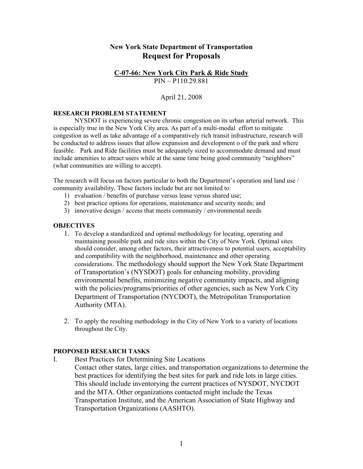# **New York State Department of Transportation Request for Proposals**

#### **C-07-66: New York City Park & Ride Study** PIN – P110.29.881

## April 21, 2008

#### **RESEARCH PROBLEM STATEMENT**

NYSDOT is experiencing severe chronic congestion on its urban arterial network. This is especially true in the New York City area. As part of a multi-modal effort to mitigate congestion as well as take advantage of a comparatively rich transit infrastructure, research will be conducted to address issues that allow expansion and development o of the park and where feasible. Park and Ride facilities must be adequately sized to accommodate demand and must include amenities to attract users while at the same time being good community "neighbors" (what communities are willing to accept).

The research will focus on factors particular to both the Department's operation and land use / community availability. These factors include but are not limited to:

- 1) evaluation / benefits of purchase versus lease versus shared use;
- 2) best practice options for operations, maintenance and security needs; and
- 3) innovative design / access that meets community / environmental needs

#### **OBJECTIVES**

- 1. To develop a standardized and optimal methodology for locating, operating and maintaining possible park and ride sites within the City of New York. Optimal sites should consider, among other factors, their attractiveness to potential users, acceptability and compatibility with the neighborhood, maintenance and other operating considerations. The methodology should support the New York State Department of Transportation's (NYSDOT) goals for enhancing mobility, providing environmental benefits, minimizing negative community impacts, and aligning with the policies/programs/priorities of other agencies, such as New York City Department of Transportation (NYCDOT), the Metropolitan Transportation Authority (MTA).
- 2. To apply the resulting methodology in the City of New York to a variety of locations throughout the City.

#### **PROPOSED RESEARCH TASKS**

- I. Best Practices for Determining Site Locations
	- Contact other states, large cities, and transportation organizations to determine the best practices for identifying the best sites for park and ride lots in large cities. This should include inventorying the current practices of NYSDOT, NYCDOT and the MTA. Other organizations contacted might include the Texas Transportation Institute, and the American Association of State Highway and Transportation Organizations (AASHTO).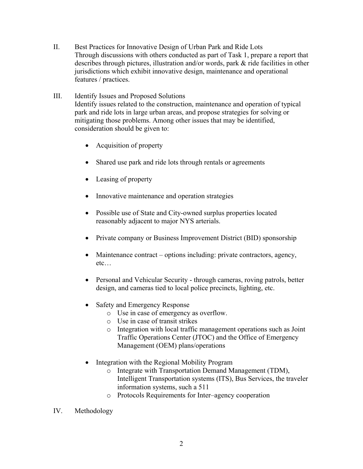- II. Best Practices for Innovative Design of Urban Park and Ride Lots Through discussions with others conducted as part of Task 1, prepare a report that describes through pictures, illustration and/or words, park & ride facilities in other jurisdictions which exhibit innovative design, maintenance and operational features / practices.
- III. Identify Issues and Proposed Solutions Identify issues related to the construction, maintenance and operation of typical park and ride lots in large urban areas, and propose strategies for solving or mitigating those problems. Among other issues that may be identified, consideration should be given to:
	- Acquisition of property
	- Shared use park and ride lots through rentals or agreements
	- Leasing of property
	- Innovative maintenance and operation strategies
	- Possible use of State and City-owned surplus properties located reasonably adjacent to major NYS arterials.
	- Private company or Business Improvement District (BID) sponsorship
	- Maintenance contract options including: private contractors, agency, etc…
	- Personal and Vehicular Security through cameras, roving patrols, better design, and cameras tied to local police precincts, lighting, etc.
	- Safety and Emergency Response
		- o Use in case of emergency as overflow.
		- o Use in case of transit strikes
		- o Integration with local traffic management operations such as Joint Traffic Operations Center (JTOC) and the Office of Emergency Management (OEM) plans/operations
	- Integration with the Regional Mobility Program
		- o Integrate with Transportation Demand Management (TDM), Intelligent Transportation systems (ITS), Bus Services, the traveler information systems, such a 511
		- o Protocols Requirements for Inter–agency cooperation
- IV. Methodology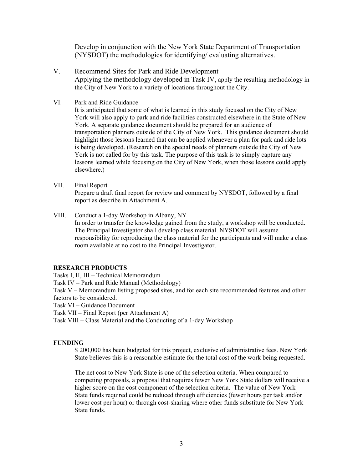Develop in conjunction with the New York State Department of Transportation (NYSDOT) the methodologies for identifying/ evaluating alternatives.

- V. Recommend Sites for Park and Ride Development Applying the methodology developed in Task IV, apply the resulting methodology in the City of New York to a variety of locations throughout the City.
- VI. Park and Ride Guidance

It is anticipated that some of what is learned in this study focused on the City of New York will also apply to park and ride facilities constructed elsewhere in the State of New York. A separate guidance document should be prepared for an audience of transportation planners outside of the City of New York. This guidance document should highlight those lessons learned that can be applied whenever a plan for park and ride lots is being developed. (Research on the special needs of planners outside the City of New York is not called for by this task. The purpose of this task is to simply capture any lessons learned while focusing on the City of New York, when those lessons could apply elsewhere.)

VII. Final Report

Prepare a draft final report for review and comment by NYSDOT, followed by a final report as describe in Attachment A.

VIII. Conduct a 1-day Workshop in Albany, NY In order to transfer the knowledge gained from the study, a workshop will be conducted. The Principal Investigator shall develop class material. NYSDOT will assume responsibility for reproducing the class material for the participants and will make a class room available at no cost to the Principal Investigator.

## **RESEARCH PRODUCTS**

Tasks I, II, III – Technical Memorandum

Task IV – Park and Ride Manual (Methodology)

Task V – Memorandum listing proposed sites, and for each site recommended features and other factors to be considered.

Task VI – Guidance Document

Task VII – Final Report (per Attachment A)

Task VIII – Class Material and the Conducting of a 1-day Workshop

## **FUNDING**

\$ 200,000 has been budgeted for this project, exclusive of administrative fees. New York State believes this is a reasonable estimate for the total cost of the work being requested.

The net cost to New York State is one of the selection criteria. When compared to competing proposals, a proposal that requires fewer New York State dollars will receive a higher score on the cost component of the selection criteria. The value of New York State funds required could be reduced through efficiencies (fewer hours per task and/or lower cost per hour) or through cost-sharing where other funds substitute for New York State funds.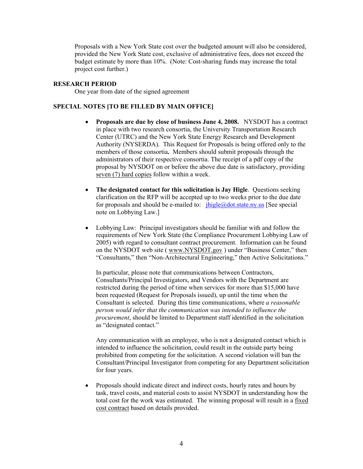Proposals with a New York State cost over the budgeted amount will also be considered, provided the New York State cost, exclusive of administrative fees, does not exceed the budget estimate by more than 10%. (Note: Cost-sharing funds may increase the total project cost further.)

#### **RESEARCH PERIOD**

One year from date of the signed agreement

## **SPECIAL NOTES [TO BE FILLED BY MAIN OFFICE]**

- **Proposals are due by close of business June 4, 2008.** NYSDOT has a contract in place with two research consortia, the University Transportation Research Center (UTRC) and the New York State Energy Research and Development Authority (NYSERDA). This Request for Proposals is being offered only to the members of those consortia**.** Members should submit proposals through the administrators of their respective consortia. The receipt of a pdf copy of the proposal by NYSDOT on or before the above due date is satisfactory, providing seven (7) hard copies follow within a week.
- **The designated contact for this solicitation is Jay Higle**. Questions seeking clarification on the RFP will be accepted up to two weeks prior to the due date for proposals and should be e-mailed to:  $ihigle@dot.state.ny.us$  [See special note on Lobbying Law.]
- Lobbying Law: Principal investigators should be familiar with and follow the requirements of New York State (the Compliance Procurement Lobbying Law of 2005) with regard to consultant contract procurement. Information can be found on the NYSDOT web site ( [www.NYSDOT.gov](http://www.nysdot.gov/) ) under "Business Center," then "Consultants," then "Non-Architectural Engineering," then Active Solicitations."

In particular, please note that communications between Contractors, Consultants/Principal Investigators, and Vendors with the Department are restricted during the period of time when services for more than \$15,000 have been requested (Request for Proposals issued), up until the time when the Consultant is selected. During this time communications, where *a reasonable person would infer that the communication was intended to influence the procurement*, should be limited to Department staff identified in the solicitation as "designated contact."

Any communication with an employee, who is not a designated contact which is intended to influence the solicitation, could result in the outside party being prohibited from competing for the solicitation. A second violation will ban the Consultant/Principal Investigator from competing for any Department solicitation for four years.

• Proposals should indicate direct and indirect costs, hourly rates and hours by task, travel costs, and material costs to assist NYSDOT in understanding how the total cost for the work was estimated. The winning proposal will result in a fixed cost contract based on details provided.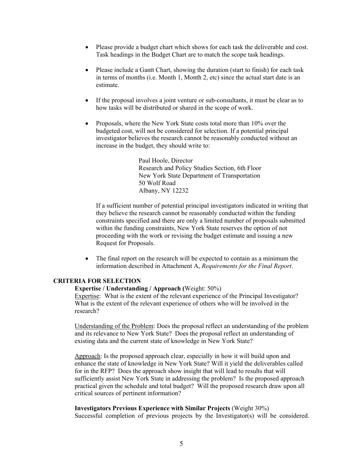- Please provide a budget chart which shows for each task the deliverable and cost. Task headings in the Budget Chart are to match the scope task headings.
- Please include a Gantt Chart, showing the duration (start to finish) for each task in terms of months (i.e. Month 1, Month 2, etc) since the actual start date is an estimate.
- If the proposal involves a joint venture or sub-consultants, it must be clear as to how tasks will be distributed or shared in the scope of work.
- Proposals, where the New York State costs total more than 10% over the budgeted cost, will not be considered for selection. If a potential principal investigator believes the research cannot be reasonably conducted without an increase in the budget, they should write to:

 Paul Hoole, Director Research and Policy Studies Section, 6th Floor New York State Department of Transportation 50 Wolf Road Albany, NY 12232

If a sufficient number of potential principal investigators indicated in writing that they believe the research cannot be reasonably conducted within the funding constraints specified and there are only a limited number of proposals submitted within the funding constraints, New York State reserves the option of not proceeding with the work or revising the budget estimate and issuing a new Request for Proposals.

• The final report on the research will be expected to contain as a minimum the information described in Attachment A, *Requirements for the Final Report*.

# **CRITERIA FOR SELECTION**

## **Expertise / Understanding / Approach (**Weight: 50%)

Expertise: What is the extent of the relevant experience of the Principal Investigator? What is the extent of the relevant experience of others who will be involved in the research?

Understanding of the Problem: Does the proposal reflect an understanding of the problem and its relevance to New York State? Does the proposal reflect an understanding of existing data and the current state of knowledge in New York State?

Approach: Is the proposed approach clear, especially in how it will build upon and enhance the state of knowledge in New York State? Will it yield the deliverables called for in the RFP? Does the approach show insight that will lead to results that will sufficiently assist New York State in addressing the problem? Is the proposed approach practical given the schedule and total budget? Will the proposed research draw upon all critical sources of pertinent information?

#### **Investigators Previous Experience with Similar Projects** (Weight 30%)

Successful completion of previous projects by the Investigator(s) will be considered.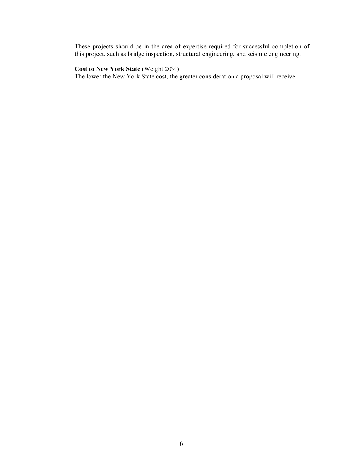These projects should be in the area of expertise required for successful completion of this project, such as bridge inspection, structural engineering, and seismic engineering.

# **Cost to New York State** (Weight 20%)

The lower the New York State cost, the greater consideration a proposal will receive.